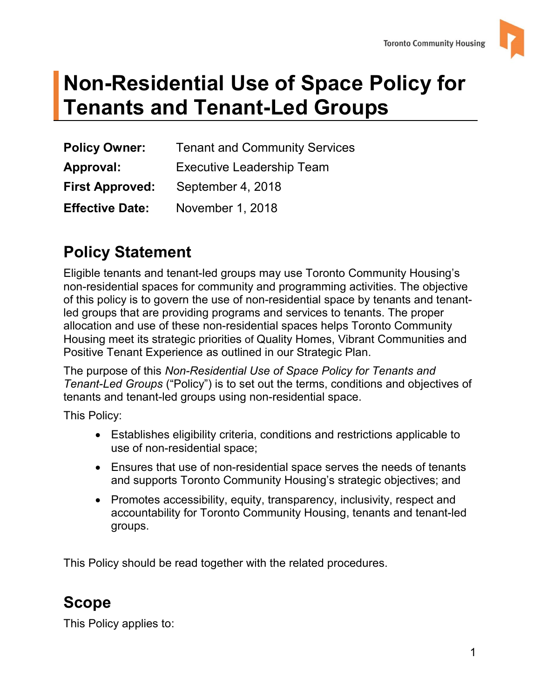

# **Tenants and Tenant-Led Groups Non-Residential Use of Space Policy for**

| <b>Policy Owner:</b>   | <b>Tenant and Community Services</b> |  |
|------------------------|--------------------------------------|--|
| Approval:              | <b>Executive Leadership Team</b>     |  |
| <b>First Approved:</b> | September 4, 2018                    |  |
| <b>Effective Date:</b> | November 1, 2018                     |  |

# **Policy Statement**

 Housing meet its strategic priorities of Quality Homes, Vibrant Communities and Eligible tenants and tenant-led groups may use Toronto Community Housing's non-residential spaces for community and programming activities. The objective of this policy is to govern the use of non-residential space by tenants and tenantled groups that are providing programs and services to tenants. The proper allocation and use of these non-residential spaces helps Toronto Community Positive Tenant Experience as outlined in our Strategic Plan.

The purpose of this *Non-Residential Use of Space Policy for Tenants and Tenant-Led Groups* ("Policy") is to set out the terms, conditions and objectives of tenants and tenant-led groups using non-residential space.

This Policy:

- Establishes eligibility criteria, conditions and restrictions applicable to use of non-residential space;
- Ensures that use of non-residential space serves the needs of tenants and supports Toronto Community Housing's strategic objectives; and
- Promotes accessibility, equity, transparency, inclusivity, respect and accountability for Toronto Community Housing, tenants and tenant-led groups.

This Policy should be read together with the related procedures.

# **Scope**

This Policy applies to: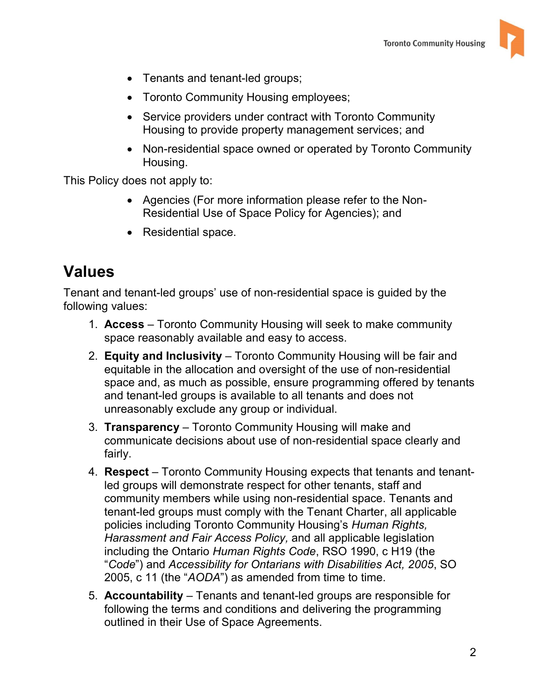

- Tenants and tenant-led groups;
- Toronto Community Housing employees;
- Service providers under contract with Toronto Community Housing to provide property management services; and
- Non-residential space owned or operated by Toronto Community Housing.

This Policy does not apply to:

- Agencies (For more information please refer to the Non-Residential Use of Space Policy for Agencies); and
- Residential space.

### **Values**

 following values: Tenant and tenant-led groups' use of non-residential space is guided by the

- 1. **Access**  Toronto Community Housing will seek to make community space reasonably available and easy to access.
- 2. **Equity and Inclusivity**  Toronto Community Housing will be fair and unreasonably exclude any group or individual. equitable in the allocation and oversight of the use of non-residential space and, as much as possible, ensure programming offered by tenants and tenant-led groups is available to all tenants and does not
- unreasonably exclude any group or individual. 3. **Transparency**  Toronto Community Housing will make and communicate decisions about use of non-residential space clearly and fairly.
- led groups will demonstrate respect for other tenants, staff and *Harassment and Fair Access Policy,* and all applicable legislation including the Ontario *Human Rights Code*, RSO 1990, c H19 (the 4. **Respect** – Toronto Community Housing expects that tenants and tenantcommunity members while using non-residential space. Tenants and tenant-led groups must comply with the Tenant Charter, all applicable policies including Toronto Community Housing's *Human Rights,*  "*Code*") and *Accessibility for Ontarians with Disabilities Act, 2005*, SO 2005, c 11 (the "*AODA*") as amended from time to time.
- 5. **Accountability**  Tenants and tenant-led groups are responsible for outlined in their Use of Space Agreements. 2 following the terms and conditions and delivering the programming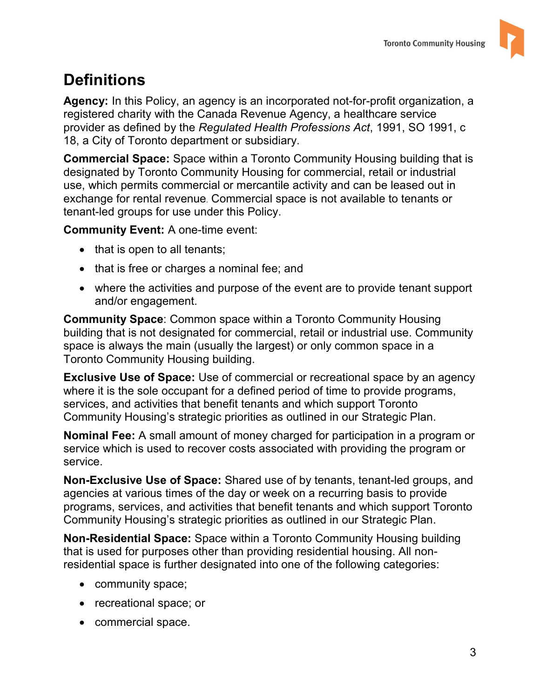

# **Definitions**

**Agency:** In this Policy, an agency is an incorporated not-for-profit organization, a registered charity with the Canada Revenue Agency, a healthcare service provider as defined by the *Regulated Health Professions Act*, 1991, SO 1991, c 18, a City of Toronto department or subsidiary.

**Commercial Space:** Space within a Toronto Community Housing building that is designated by Toronto Community Housing for commercial, retail or industrial use, which permits commercial or mercantile activity and can be leased out in exchange for rental revenue. Commercial space is not available to tenants or tenant-led groups for use under this Policy.

**Community Event:** A one-time event:

- that is open to all tenants;
- that is free or charges a nominal fee; and
- and/or engagement. where the activities and purpose of the event are to provide tenant support

 building that is not designated for commercial, retail or industrial use. Community space is always the main (usually the largest) or only common space in a Toronto Community Housing building. **Community Space**: Common space within a Toronto Community Housing

 where it is the sole occupant for a defined period of time to provide programs, Community Housing's strategic priorities as outlined in our Strategic Plan. **Exclusive Use of Space:** Use of commercial or recreational space by an agency services, and activities that benefit tenants and which support Toronto

 **Nominal Fee:** A small amount of money charged for participation in a program or service which is used to recover costs associated with providing the program or service.

 **Non-Exclusive Use of Space:** Shared use of by tenants, tenant-led groups, and agencies at various times of the day or week on a recurring basis to provide Community Housing's strategic priorities as outlined in our Strategic Plan. programs, services, and activities that benefit tenants and which support Toronto

**Non-Residential Space:** Space within a Toronto Community Housing building that is used for purposes other than providing residential housing. All nonresidential space is further designated into one of the following categories:

- community space;
- recreational space; or
- commercial space.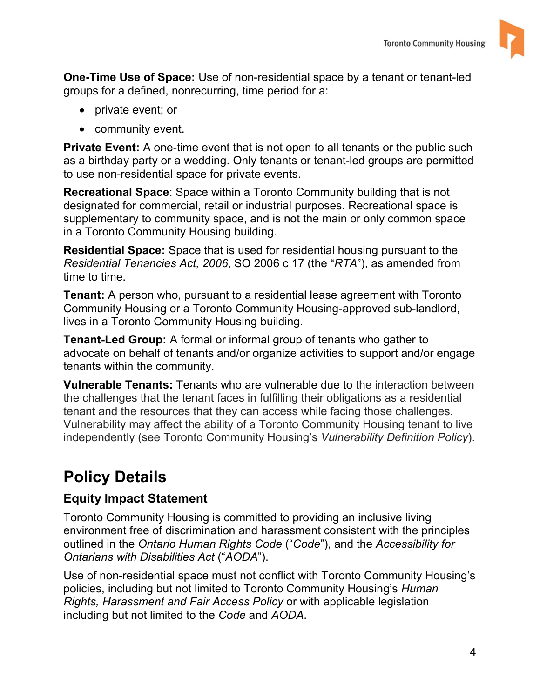

 **One-Time Use of Space:** Use of non-residential space by a tenant or tenant-led groups for a defined, nonrecurring, time period for a:

- private event; or
- community event.

 **Private Event:** A one-time event that is not open to all tenants or the public such as a birthday party or a wedding. Only tenants or tenant-led groups are permitted to use non-residential space for private events.

 designated for commercial, retail or industrial purposes. Recreational space is in a Toronto Community Housing building. **Recreational Space**: Space within a Toronto Community building that is not supplementary to community space, and is not the main or only common space

 **Residential Space:** Space that is used for residential housing pursuant to the *Residential Tenancies Act, 2006*, SO 2006 c 17 (the "*RTA*"), as amended from time to time.

**Tenant:** A person who, pursuant to a residential lease agreement with Toronto Community Housing or a Toronto Community Housing-approved sub-landlord, lives in a Toronto Community Housing building.

 tenants within the community. **Tenant-Led Group:** A formal or informal group of tenants who gather to advocate on behalf of tenants and/or organize activities to support and/or engage

**Vulnerable Tenants:** Tenants who are vulnerable due to the interaction between the challenges that the tenant faces in fulfilling their obligations as a residential tenant and the resources that they can access while facing those challenges. Vulnerability may affect the ability of a Toronto Community Housing tenant to live independently (see Toronto Community Housing's *Vulnerability Definition Policy*).

# **Policy Details**

### **Equity Impact Statement**

 *Ontarians with Disabilities Act* ("*AODA*"). Toronto Community Housing is committed to providing an inclusive living environment free of discrimination and harassment consistent with the principles outlined in the *Ontario Human Rights Code* ("*Code*"), and the *Accessibility for* 

 including but not limited to the *Code* and *AODA*. Use of non-residential space must not conflict with Toronto Community Housing's policies, including but not limited to Toronto Community Housing's *Human Rights, Harassment and Fair Access Policy* or with applicable legislation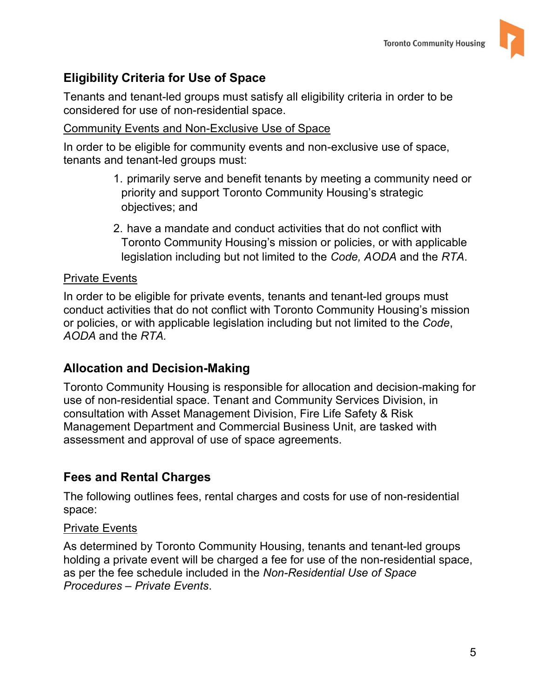

### **Eligibility Criteria for Use of Space**

 Tenants and tenant-led groups must satisfy all eligibility criteria in order to be considered for use of non-residential space.

#### Community Events and Non-Exclusive Use of Space

 tenants and tenant-led groups must: In order to be eligible for community events and non-exclusive use of space,

- 1. primarily serve and benefit tenants by meeting a community need or priority and support Toronto Community Housing's strategic objectives; and
- 2. have a mandate and conduct activities that do not conflict with Toronto Community Housing's mission or policies, or with applicable legislation including but not limited to the *Code, AODA* and the *RTA*.

#### Private Events

In order to be eligible for private events, tenants and tenant-led groups must conduct activities that do not conflict with Toronto Community Housing's mission or policies, or with applicable legislation including but not limited to the *Code*, *AODA* and the *RTA.* 

### **Allocation and Decision-Making**

 use of non-residential space. Tenant and Community Services Division, in consultation with Asset Management Division, Fire Life Safety & Risk Toronto Community Housing is responsible for allocation and decision-making for Management Department and Commercial Business Unit, are tasked with assessment and approval of use of space agreements.

### **Fees and Rental Charges**

The following outlines fees, rental charges and costs for use of non-residential space:

#### **Private Events**

As determined by Toronto Community Housing, tenants and tenant-led groups holding a private event will be charged a fee for use of the non-residential space, as per the fee schedule included in the *Non-Residential Use of Space Procedures – Private Events*.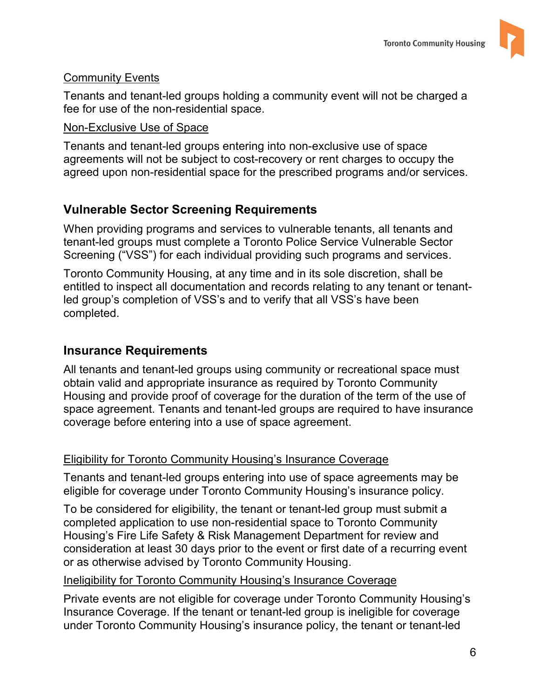

#### **Community Events**

Tenants and tenant-led groups holding a community event will not be charged a fee for use of the non-residential space.

#### Non-Exclusive Use of Space

 agreements will not be subject to cost-recovery or rent charges to occupy the agreed upon non-residential space for the prescribed programs and/or services. Tenants and tenant-led groups entering into non-exclusive use of space

### **Vulnerable Sector Screening Requirements**

When providing programs and services to vulnerable tenants, all tenants and tenant-led groups must complete a Toronto Police Service Vulnerable Sector Screening ("VSS") for each individual providing such programs and services.

Toronto Community Housing, at any time and in its sole discretion, shall be entitled to inspect all documentation and records relating to any tenant or tenantled group's completion of VSS's and to verify that all VSS's have been completed.

#### **Insurance Requirements**

All tenants and tenant-led groups using community or recreational space must obtain valid and appropriate insurance as required by Toronto Community Housing and provide proof of coverage for the duration of the term of the use of space agreement. Tenants and tenant-led groups are required to have insurance coverage before entering into a use of space agreement.

#### Eligibility for Toronto Community Housing's Insurance Coverage

Tenants and tenant-led groups entering into use of space agreements may be eligible for coverage under Toronto Community Housing's insurance policy.

 Housing's Fire Life Safety & Risk Management Department for review and To be considered for eligibility, the tenant or tenant-led group must submit a completed application to use non-residential space to Toronto Community consideration at least 30 days prior to the event or first date of a recurring event or as otherwise advised by Toronto Community Housing.

#### Ineligibility for Toronto Community Housing's Insurance Coverage

Private events are not eligible for coverage under Toronto Community Housing's Insurance Coverage. If the tenant or tenant-led group is ineligible for coverage under Toronto Community Housing's insurance policy, the tenant or tenant-led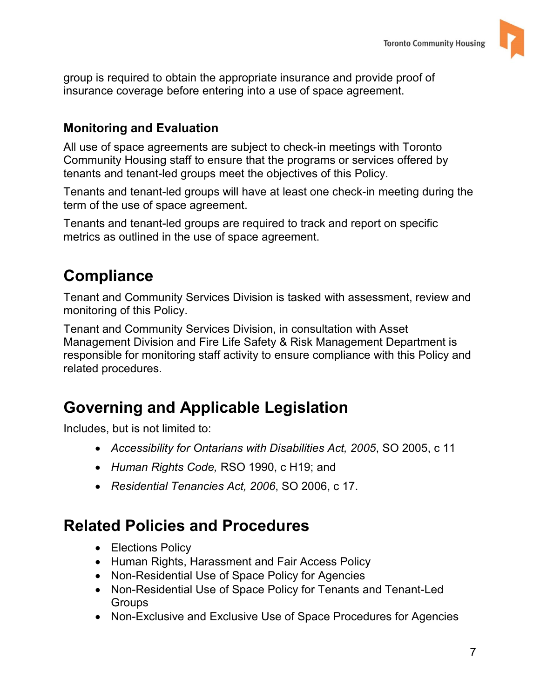

 insurance coverage before entering into a use of space agreement. group is required to obtain the appropriate insurance and provide proof of

### **Monitoring and Evaluation**

 Community Housing staff to ensure that the programs or services offered by tenants and tenant-led groups meet the objectives of this Policy. All use of space agreements are subject to check-in meetings with Toronto

tenants and tenant-led groups meet the objectives of this Policy.<br>Tenants and tenant-led groups will have at least one check-in meeting during the term of the use of space agreement.

 metrics as outlined in the use of space agreement. Tenants and tenant-led groups are required to track and report on specific

# **Compliance**

Tenant and Community Services Division is tasked with assessment, review and monitoring of this Policy.

Tenant and Community Services Division, in consultation with Asset Management Division and Fire Life Safety & Risk Management Department is responsible for monitoring staff activity to ensure compliance with this Policy and related procedures.

# **Governing and Applicable Legislation**

Includes, but is not limited to:

- *Accessibility for Ontarians with Disabilities Act, 2005*, SO 2005, c 11
- *Human Rights Code,* RSO 1990, c H19; and
- *Residential Tenancies Act, 2006*, SO 2006, c 17.

# **Related Policies and Procedures**

- Elections Policy
- Human Rights, Harassment and Fair Access Policy
- Non-Residential Use of Space Policy for Agencies
- Non-Residential Use of Space Policy for Tenants and Tenant-Led **Groups**
- Non-Exclusive and Exclusive Use of Space Procedures for Agencies